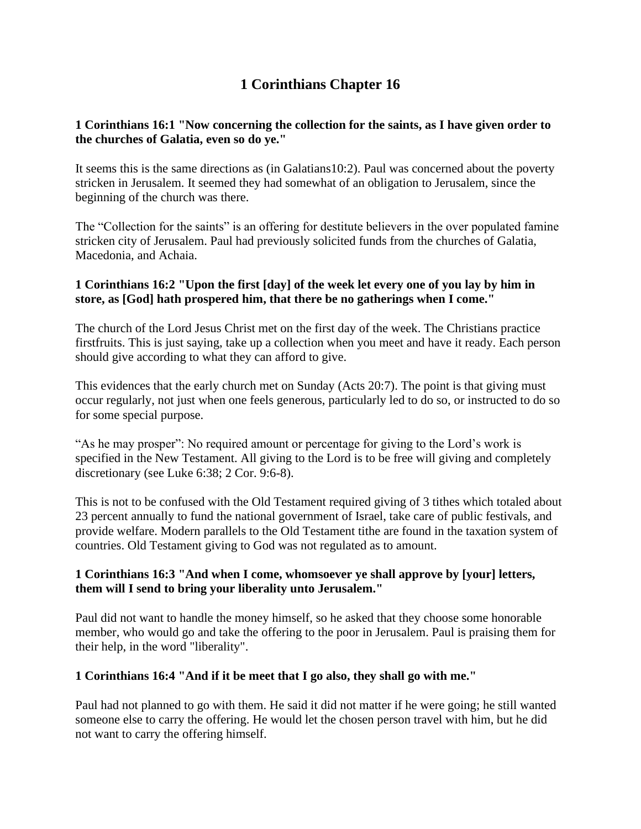# **1 Corinthians Chapter 16**

## **1 Corinthians 16:1 "Now concerning the collection for the saints, as I have given order to the churches of Galatia, even so do ye."**

It seems this is the same directions as (in Galatians10:2). Paul was concerned about the poverty stricken in Jerusalem. It seemed they had somewhat of an obligation to Jerusalem, since the beginning of the church was there.

The "Collection for the saints" is an offering for destitute believers in the over populated famine stricken city of Jerusalem. Paul had previously solicited funds from the churches of Galatia, Macedonia, and Achaia.

## **1 Corinthians 16:2 "Upon the first [day] of the week let every one of you lay by him in store, as [God] hath prospered him, that there be no gatherings when I come."**

The church of the Lord Jesus Christ met on the first day of the week. The Christians practice firstfruits. This is just saying, take up a collection when you meet and have it ready. Each person should give according to what they can afford to give.

This evidences that the early church met on Sunday (Acts 20:7). The point is that giving must occur regularly, not just when one feels generous, particularly led to do so, or instructed to do so for some special purpose.

"As he may prosper": No required amount or percentage for giving to the Lord's work is specified in the New Testament. All giving to the Lord is to be free will giving and completely discretionary (see Luke 6:38; 2 Cor. 9:6-8).

This is not to be confused with the Old Testament required giving of 3 tithes which totaled about 23 percent annually to fund the national government of Israel, take care of public festivals, and provide welfare. Modern parallels to the Old Testament tithe are found in the taxation system of countries. Old Testament giving to God was not regulated as to amount.

## **1 Corinthians 16:3 "And when I come, whomsoever ye shall approve by [your] letters, them will I send to bring your liberality unto Jerusalem."**

Paul did not want to handle the money himself, so he asked that they choose some honorable member, who would go and take the offering to the poor in Jerusalem. Paul is praising them for their help, in the word "liberality".

## **1 Corinthians 16:4 "And if it be meet that I go also, they shall go with me."**

Paul had not planned to go with them. He said it did not matter if he were going; he still wanted someone else to carry the offering. He would let the chosen person travel with him, but he did not want to carry the offering himself.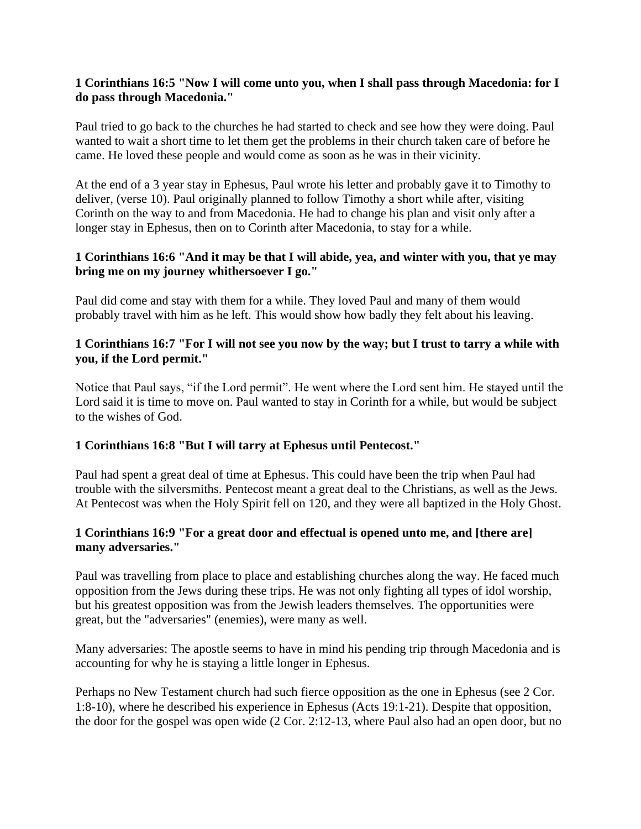#### **1 Corinthians 16:5 "Now I will come unto you, when I shall pass through Macedonia: for I do pass through Macedonia."**

Paul tried to go back to the churches he had started to check and see how they were doing. Paul wanted to wait a short time to let them get the problems in their church taken care of before he came. He loved these people and would come as soon as he was in their vicinity.

At the end of a 3 year stay in Ephesus, Paul wrote his letter and probably gave it to Timothy to deliver, (verse 10). Paul originally planned to follow Timothy a short while after, visiting Corinth on the way to and from Macedonia. He had to change his plan and visit only after a longer stay in Ephesus, then on to Corinth after Macedonia, to stay for a while.

#### **1 Corinthians 16:6 "And it may be that I will abide, yea, and winter with you, that ye may bring me on my journey whithersoever I go."**

Paul did come and stay with them for a while. They loved Paul and many of them would probably travel with him as he left. This would show how badly they felt about his leaving.

## **1 Corinthians 16:7 "For I will not see you now by the way; but I trust to tarry a while with you, if the Lord permit."**

Notice that Paul says, "if the Lord permit". He went where the Lord sent him. He stayed until the Lord said it is time to move on. Paul wanted to stay in Corinth for a while, but would be subject to the wishes of God.

## **1 Corinthians 16:8 "But I will tarry at Ephesus until Pentecost."**

Paul had spent a great deal of time at Ephesus. This could have been the trip when Paul had trouble with the silversmiths. Pentecost meant a great deal to the Christians, as well as the Jews. At Pentecost was when the Holy Spirit fell on 120, and they were all baptized in the Holy Ghost.

## **1 Corinthians 16:9 "For a great door and effectual is opened unto me, and [there are] many adversaries."**

Paul was travelling from place to place and establishing churches along the way. He faced much opposition from the Jews during these trips. He was not only fighting all types of idol worship, but his greatest opposition was from the Jewish leaders themselves. The opportunities were great, but the "adversaries" (enemies), were many as well.

Many adversaries: The apostle seems to have in mind his pending trip through Macedonia and is accounting for why he is staying a little longer in Ephesus.

Perhaps no New Testament church had such fierce opposition as the one in Ephesus (see 2 Cor. 1:8-10), where he described his experience in Ephesus (Acts 19:1-21). Despite that opposition, the door for the gospel was open wide (2 Cor. 2:12-13, where Paul also had an open door, but no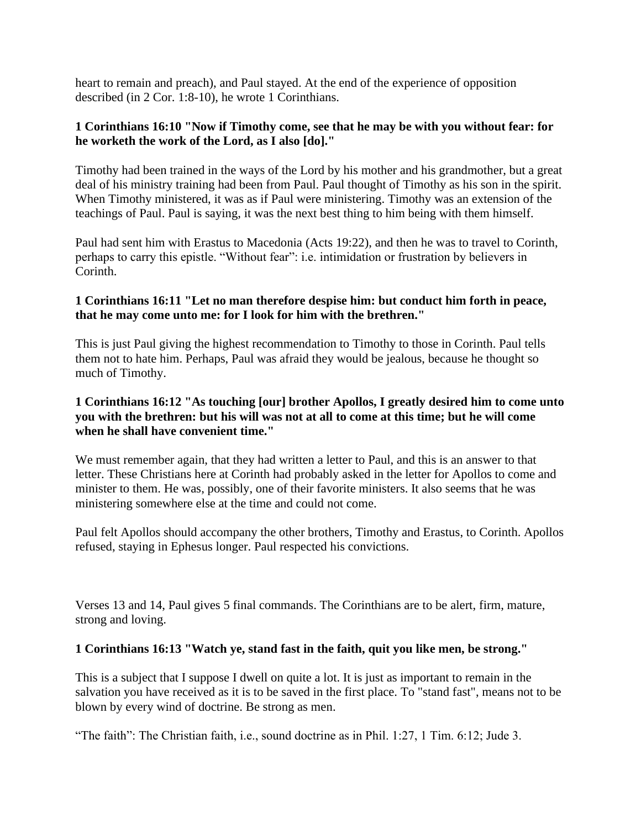heart to remain and preach), and Paul stayed. At the end of the experience of opposition described (in 2 Cor. 1:8-10), he wrote 1 Corinthians.

#### **1 Corinthians 16:10 "Now if Timothy come, see that he may be with you without fear: for he worketh the work of the Lord, as I also [do]."**

Timothy had been trained in the ways of the Lord by his mother and his grandmother, but a great deal of his ministry training had been from Paul. Paul thought of Timothy as his son in the spirit. When Timothy ministered, it was as if Paul were ministering. Timothy was an extension of the teachings of Paul. Paul is saying, it was the next best thing to him being with them himself.

Paul had sent him with Erastus to Macedonia (Acts 19:22), and then he was to travel to Corinth, perhaps to carry this epistle. "Without fear": i.e. intimidation or frustration by believers in Corinth.

#### **1 Corinthians 16:11 "Let no man therefore despise him: but conduct him forth in peace, that he may come unto me: for I look for him with the brethren."**

This is just Paul giving the highest recommendation to Timothy to those in Corinth. Paul tells them not to hate him. Perhaps, Paul was afraid they would be jealous, because he thought so much of Timothy.

## **1 Corinthians 16:12 "As touching [our] brother Apollos, I greatly desired him to come unto you with the brethren: but his will was not at all to come at this time; but he will come when he shall have convenient time."**

We must remember again, that they had written a letter to Paul, and this is an answer to that letter. These Christians here at Corinth had probably asked in the letter for Apollos to come and minister to them. He was, possibly, one of their favorite ministers. It also seems that he was ministering somewhere else at the time and could not come.

Paul felt Apollos should accompany the other brothers, Timothy and Erastus, to Corinth. Apollos refused, staying in Ephesus longer. Paul respected his convictions.

Verses 13 and 14, Paul gives 5 final commands. The Corinthians are to be alert, firm, mature, strong and loving.

## **1 Corinthians 16:13 "Watch ye, stand fast in the faith, quit you like men, be strong."**

This is a subject that I suppose I dwell on quite a lot. It is just as important to remain in the salvation you have received as it is to be saved in the first place. To "stand fast", means not to be blown by every wind of doctrine. Be strong as men.

"The faith": The Christian faith, i.e., sound doctrine as in Phil. 1:27, 1 Tim. 6:12; Jude 3.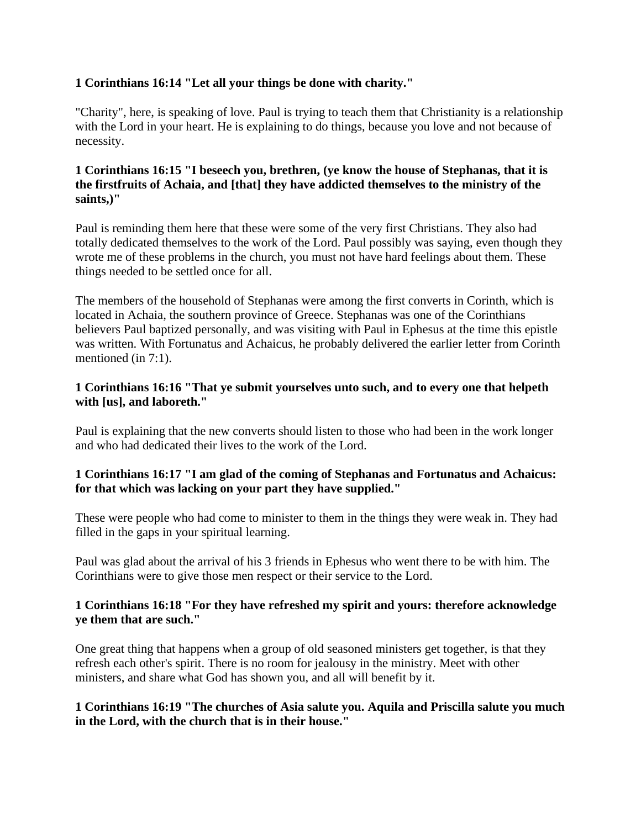## **1 Corinthians 16:14 "Let all your things be done with charity."**

"Charity", here, is speaking of love. Paul is trying to teach them that Christianity is a relationship with the Lord in your heart. He is explaining to do things, because you love and not because of necessity.

## **1 Corinthians 16:15 "I beseech you, brethren, (ye know the house of Stephanas, that it is the firstfruits of Achaia, and [that] they have addicted themselves to the ministry of the saints,)"**

Paul is reminding them here that these were some of the very first Christians. They also had totally dedicated themselves to the work of the Lord. Paul possibly was saying, even though they wrote me of these problems in the church, you must not have hard feelings about them. These things needed to be settled once for all.

The members of the household of Stephanas were among the first converts in Corinth, which is located in Achaia, the southern province of Greece. Stephanas was one of the Corinthians believers Paul baptized personally, and was visiting with Paul in Ephesus at the time this epistle was written. With Fortunatus and Achaicus, he probably delivered the earlier letter from Corinth mentioned (in 7:1).

## **1 Corinthians 16:16 "That ye submit yourselves unto such, and to every one that helpeth with [us], and laboreth."**

Paul is explaining that the new converts should listen to those who had been in the work longer and who had dedicated their lives to the work of the Lord.

## **1 Corinthians 16:17 "I am glad of the coming of Stephanas and Fortunatus and Achaicus: for that which was lacking on your part they have supplied."**

These were people who had come to minister to them in the things they were weak in. They had filled in the gaps in your spiritual learning.

Paul was glad about the arrival of his 3 friends in Ephesus who went there to be with him. The Corinthians were to give those men respect or their service to the Lord.

## **1 Corinthians 16:18 "For they have refreshed my spirit and yours: therefore acknowledge ye them that are such."**

One great thing that happens when a group of old seasoned ministers get together, is that they refresh each other's spirit. There is no room for jealousy in the ministry. Meet with other ministers, and share what God has shown you, and all will benefit by it.

## **1 Corinthians 16:19 "The churches of Asia salute you. Aquila and Priscilla salute you much in the Lord, with the church that is in their house."**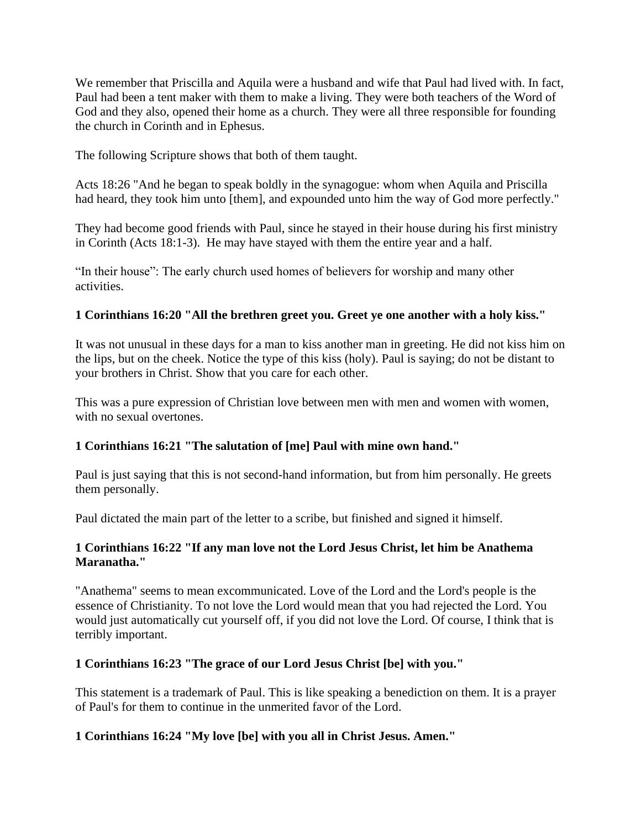We remember that Priscilla and Aquila were a husband and wife that Paul had lived with. In fact, Paul had been a tent maker with them to make a living. They were both teachers of the Word of God and they also, opened their home as a church. They were all three responsible for founding the church in Corinth and in Ephesus.

The following Scripture shows that both of them taught.

Acts 18:26 "And he began to speak boldly in the synagogue: whom when Aquila and Priscilla had heard, they took him unto [them], and expounded unto him the way of God more perfectly."

They had become good friends with Paul, since he stayed in their house during his first ministry in Corinth (Acts 18:1-3). He may have stayed with them the entire year and a half.

"In their house": The early church used homes of believers for worship and many other activities.

# **1 Corinthians 16:20 "All the brethren greet you. Greet ye one another with a holy kiss."**

It was not unusual in these days for a man to kiss another man in greeting. He did not kiss him on the lips, but on the cheek. Notice the type of this kiss (holy). Paul is saying; do not be distant to your brothers in Christ. Show that you care for each other.

This was a pure expression of Christian love between men with men and women with women, with no sexual overtones.

## **1 Corinthians 16:21 "The salutation of [me] Paul with mine own hand."**

Paul is just saying that this is not second-hand information, but from him personally. He greets them personally.

Paul dictated the main part of the letter to a scribe, but finished and signed it himself.

## **1 Corinthians 16:22 "If any man love not the Lord Jesus Christ, let him be Anathema Maranatha."**

"Anathema" seems to mean excommunicated. Love of the Lord and the Lord's people is the essence of Christianity. To not love the Lord would mean that you had rejected the Lord. You would just automatically cut yourself off, if you did not love the Lord. Of course, I think that is terribly important.

## **1 Corinthians 16:23 "The grace of our Lord Jesus Christ [be] with you."**

This statement is a trademark of Paul. This is like speaking a benediction on them. It is a prayer of Paul's for them to continue in the unmerited favor of the Lord.

# **1 Corinthians 16:24 "My love [be] with you all in Christ Jesus. Amen."**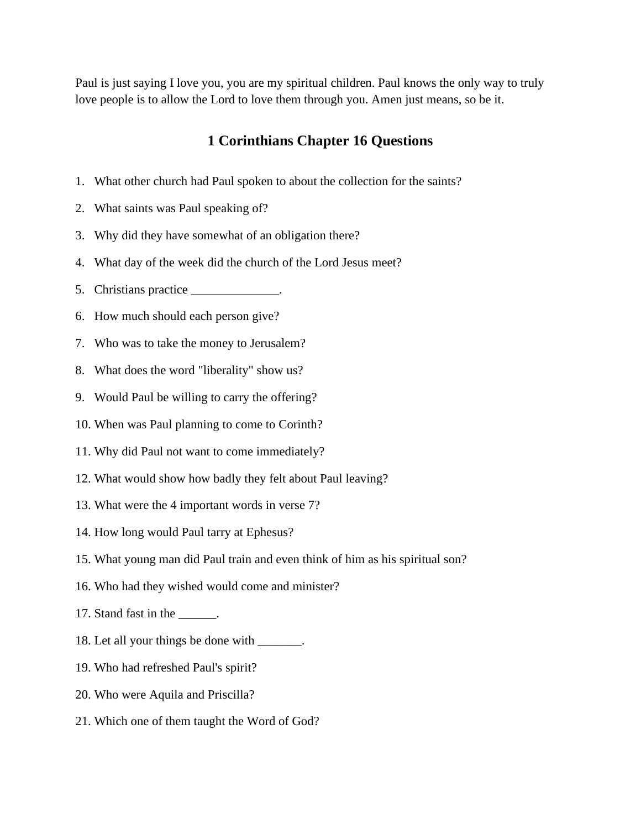Paul is just saying I love you, you are my spiritual children. Paul knows the only way to truly love people is to allow the Lord to love them through you. Amen just means, so be it.

# **1 Corinthians Chapter 16 Questions**

- 1. What other church had Paul spoken to about the collection for the saints?
- 2. What saints was Paul speaking of?
- 3. Why did they have somewhat of an obligation there?
- 4. What day of the week did the church of the Lord Jesus meet?
- 5. Christians practice \_\_\_\_\_\_\_\_\_\_\_\_\_.
- 6. How much should each person give?
- 7. Who was to take the money to Jerusalem?
- 8. What does the word "liberality" show us?
- 9. Would Paul be willing to carry the offering?
- 10. When was Paul planning to come to Corinth?
- 11. Why did Paul not want to come immediately?
- 12. What would show how badly they felt about Paul leaving?
- 13. What were the 4 important words in verse 7?
- 14. How long would Paul tarry at Ephesus?
- 15. What young man did Paul train and even think of him as his spiritual son?
- 16. Who had they wished would come and minister?
- 17. Stand fast in the \_\_\_\_\_\_.
- 18. Let all your things be done with \_\_\_\_\_\_\_.
- 19. Who had refreshed Paul's spirit?
- 20. Who were Aquila and Priscilla?
- 21. Which one of them taught the Word of God?